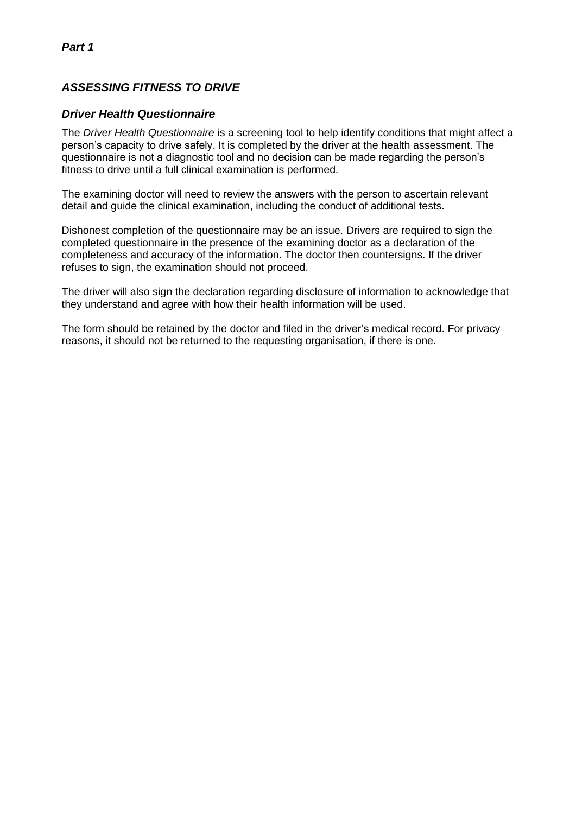# *ASSESSING FITNESS TO DRIVE*

## *Driver Health Questionnaire*

The *Driver Health Questionnaire* is a screening tool to help identify conditions that might affect a person's capacity to drive safely. It is completed by the driver at the health assessment. The questionnaire is not a diagnostic tool and no decision can be made regarding the person's fitness to drive until a full clinical examination is performed.

The examining doctor will need to review the answers with the person to ascertain relevant detail and guide the clinical examination, including the conduct of additional tests.

Dishonest completion of the questionnaire may be an issue. Drivers are required to sign the completed questionnaire in the presence of the examining doctor as a declaration of the completeness and accuracy of the information. The doctor then countersigns. If the driver refuses to sign, the examination should not proceed.

The driver will also sign the declaration regarding disclosure of information to acknowledge that they understand and agree with how their health information will be used.

The form should be retained by the doctor and filed in the driver's medical record. For privacy reasons, it should not be returned to the requesting organisation, if there is one.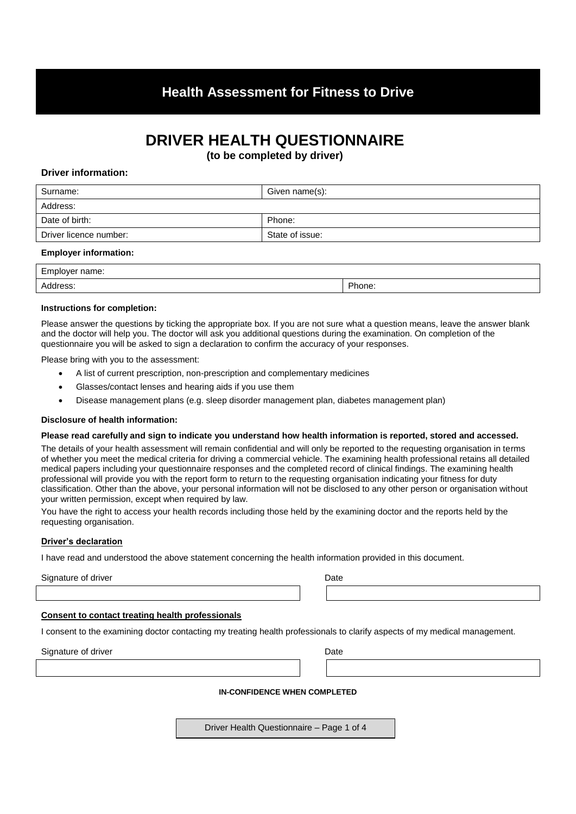# **Health Assessment for Fitness to Drive**

# **DRIVER HEALTH QUESTIONNAIRE**

**(to be completed by driver)**

### **Driver information:**

| Given name(s):  |
|-----------------|
|                 |
| Phone:          |
| State of issue: |
|                 |

#### **Employer information:**

| $\sim$ $\sim$<br>Employer name: |        |
|---------------------------------|--------|
| Address.                        | Phone: |

#### **Instructions for completion:**

Please answer the questions by ticking the appropriate box. If you are not sure what a question means, leave the answer blank and the doctor will help you. The doctor will ask you additional questions during the examination. On completion of the questionnaire you will be asked to sign a declaration to confirm the accuracy of your responses.

Please bring with you to the assessment:

- A list of current prescription, non-prescription and complementary medicines
- Glasses/contact lenses and hearing aids if you use them
- Disease management plans (e.g. sleep disorder management plan, diabetes management plan)

#### **Disclosure of health information:**

#### **Please read carefully and sign to indicate you understand how health information is reported, stored and accessed.**

The details of your health assessment will remain confidential and will only be reported to the requesting organisation in terms of whether you meet the medical criteria for driving a commercial vehicle. The examining health professional retains all detailed medical papers including your questionnaire responses and the completed record of clinical findings. The examining health professional will provide you with the report form to return to the requesting organisation indicating your fitness for duty classification. Other than the above, your personal information will not be disclosed to any other person or organisation without your written permission, except when required by law.

You have the right to access your health records including those held by the examining doctor and the reports held by the requesting organisation.

#### **Driver's declaration**

I have read and understood the above statement concerning the health information provided in this document.

Signature of driver **Date** 

| ۰, | ×<br>. . |
|----|----------|
|    |          |

#### **Consent to contact treating health professionals**

I consent to the examining doctor contacting my treating health professionals to clarify aspects of my medical management.

Signature of driver **Date** 

#### **IN-CONFIDENCE WHEN COMPLETED**

Driver Health Questionnaire – Page 1 of 4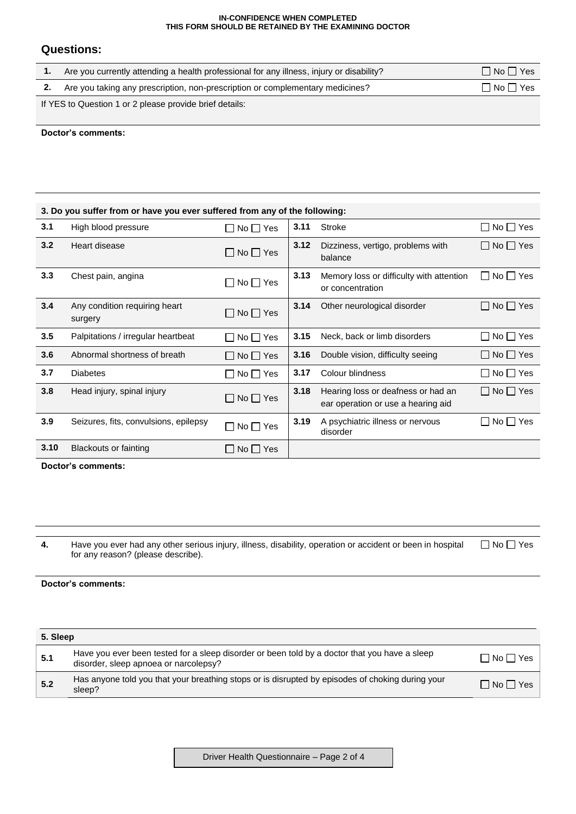#### **IN-CONFIDENCE WHEN COMPLETED THIS FORM SHOULD BE RETAINED BY THE EXAMINING DOCTOR**

## **Questions:**

| Are you currently attending a health professional for any illness, injury or disability? | $\Box$ No $\Box$ Yes       |
|------------------------------------------------------------------------------------------|----------------------------|
| 2. Are you taking any prescription, non-prescription or complementary medicines?         | $\square$ No $\square$ Yes |
| If YES to Question 1 or 2 please provide brief details:                                  |                            |

#### **Doctor's comments:**

|      | 3. Do you suffer from or have you ever suffered from any of the following: |                            |      |                                                                          |                            |  |  |
|------|----------------------------------------------------------------------------|----------------------------|------|--------------------------------------------------------------------------|----------------------------|--|--|
| 3.1  | High blood pressure                                                        | $\square$ No $\square$ Yes | 3.11 | Stroke                                                                   | $\Box$ No $\Box$ Yes       |  |  |
| 3.2  | Heart disease                                                              | $\Box$ No $\Box$ Yes       | 3.12 | Dizziness, vertigo, problems with<br>balance                             | $\Box$ No $\Box$ Yes       |  |  |
| 3.3  | Chest pain, angina                                                         | $\square$ No $\square$ Yes | 3.13 | Memory loss or difficulty with attention<br>or concentration             | $\square$ No $\square$ Yes |  |  |
| 3.4  | Any condition requiring heart<br>surgery                                   | $\square$ No $\square$ Yes | 3.14 | Other neurological disorder                                              | $\Box$ No $\Box$ Yes       |  |  |
| 3.5  | Palpitations / irregular heartbeat                                         | $\square$ No $\square$ Yes | 3.15 | Neck, back or limb disorders                                             | $\Box$ No $\Box$ Yes       |  |  |
| 3.6  | Abnormal shortness of breath                                               | $\Box$ No $\Box$ Yes       | 3.16 | Double vision, difficulty seeing                                         | $\Box$ No $\Box$ Yes       |  |  |
| 3.7  | <b>Diabetes</b>                                                            | $\Box$ No $\Box$ Yes       | 3.17 | Colour blindness                                                         | $No \Box Yes$<br>$\perp$   |  |  |
| 3.8  | Head injury, spinal injury                                                 | $\Box$ No $\Box$ Yes       | 3.18 | Hearing loss or deafness or had an<br>ear operation or use a hearing aid | $\Box$ No $\Box$ Yes       |  |  |
| 3.9  | Seizures, fits, convulsions, epilepsy                                      | $\Box$ No $\Box$ Yes       | 3.19 | A psychiatric illness or nervous<br>disorder                             | $No \Box Yes$<br>ΙI        |  |  |
| 3.10 | Blackouts or fainting                                                      | INollYes                   |      |                                                                          |                            |  |  |

**Doctor's comments:**

**4.** Have you ever had any other serious injury, illness, disability, operation or accident or been in hospital for any reason? (please describe). No Yes

### **Doctor's comments:**

| 5. Sleep |                                                                                                                                        |                            |
|----------|----------------------------------------------------------------------------------------------------------------------------------------|----------------------------|
| 5.1      | Have you ever been tested for a sleep disorder or been told by a doctor that you have a sleep<br>disorder, sleep apnoea or narcolepsy? | $\square$ No $\square$ Yes |
| 5.2      | Has anyone told you that your breathing stops or is disrupted by episodes of choking during your<br>sleep?                             | $\Box$ No $\Box$ Yes       |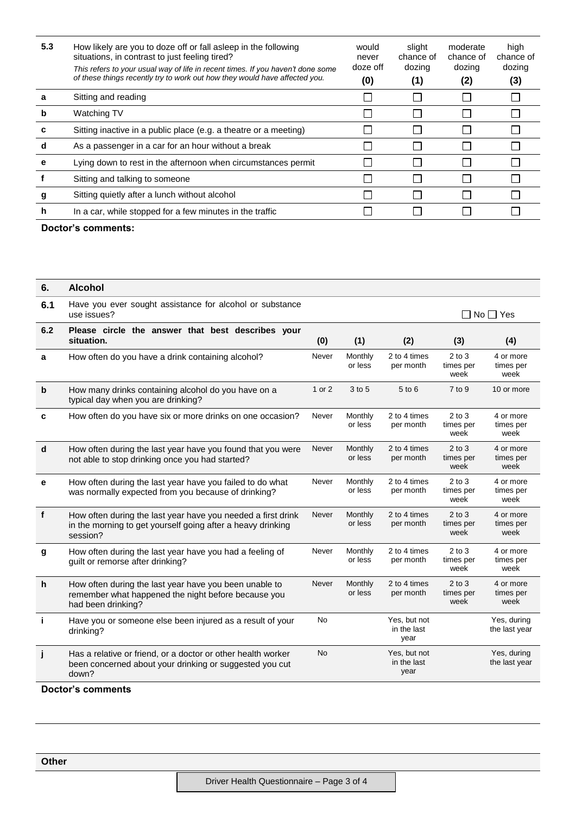| 5.3 | How likely are you to doze off or fall asleep in the following<br>situations, in contrast to just feeling tired?<br>This refers to your usual way of life in recent times. If you haven't done some<br>of these things recently try to work out how they would have affected you. | would<br>never<br>doze off<br>(0) | slight<br>chance of<br>dozing<br>(1) | moderate<br>chance of<br>dozing<br>(2) | high<br>chance of<br>dozing<br>(3) |
|-----|-----------------------------------------------------------------------------------------------------------------------------------------------------------------------------------------------------------------------------------------------------------------------------------|-----------------------------------|--------------------------------------|----------------------------------------|------------------------------------|
| а   | Sitting and reading                                                                                                                                                                                                                                                               |                                   |                                      |                                        |                                    |
| b   | Watching TV                                                                                                                                                                                                                                                                       |                                   |                                      |                                        |                                    |
| с   | Sitting inactive in a public place (e.g. a theatre or a meeting)                                                                                                                                                                                                                  |                                   |                                      |                                        |                                    |
| d   | As a passenger in a car for an hour without a break                                                                                                                                                                                                                               |                                   |                                      |                                        |                                    |
| е   | Lying down to rest in the afternoon when circumstances permit                                                                                                                                                                                                                     |                                   |                                      |                                        |                                    |
|     | Sitting and talking to someone                                                                                                                                                                                                                                                    |                                   |                                      |                                        |                                    |
| g   | Sitting quietly after a lunch without alcohol                                                                                                                                                                                                                                     |                                   |                                      |                                        |                                    |
| h   | In a car, while stopped for a few minutes in the traffic                                                                                                                                                                                                                          |                                   |                                      |                                        |                                    |
|     |                                                                                                                                                                                                                                                                                   |                                   |                                      |                                        |                                    |

## **Doctor's comments:**

| 6.          | <b>Alcohol</b>                                                                                                                          |           |                    |                                     |                                 |                                |
|-------------|-----------------------------------------------------------------------------------------------------------------------------------------|-----------|--------------------|-------------------------------------|---------------------------------|--------------------------------|
| 6.1         | Have you ever sought assistance for alcohol or substance<br>use issues?                                                                 |           |                    |                                     |                                 | ∩ No ∩ Yes                     |
| 6.2         | Please circle the answer that best describes your<br>situation.                                                                         | (0)       | (1)                | (2)                                 | (3)                             | (4)                            |
| a           | How often do you have a drink containing alcohol?                                                                                       | Never     | Monthly<br>or less | 2 to 4 times<br>per month           | $2$ to $3$<br>times per<br>week | 4 or more<br>times per<br>week |
| $\mathbf b$ | How many drinks containing alcohol do you have on a<br>typical day when you are drinking?                                               | 1 or 2    | 3 to 5             | 5 to 6                              | $7$ to 9                        | 10 or more                     |
| C           | How often do you have six or more drinks on one occasion?                                                                               | Never     | Monthly<br>or less | 2 to 4 times<br>per month           | $2$ to $3$<br>times per<br>week | 4 or more<br>times per<br>week |
| d           | How often during the last year have you found that you were<br>not able to stop drinking once you had started?                          | Never     | Monthly<br>or less | 2 to 4 times<br>per month           | $2$ to $3$<br>times per<br>week | 4 or more<br>times per<br>week |
| e           | How often during the last year have you failed to do what<br>was normally expected from you because of drinking?                        | Never     | Monthly<br>or less | 2 to 4 times<br>per month           | $2$ to $3$<br>times per<br>week | 4 or more<br>times per<br>week |
| $\mathbf f$ | How often during the last year have you needed a first drink<br>in the morning to get yourself going after a heavy drinking<br>session? | Never     | Monthly<br>or less | 2 to 4 times<br>per month           | $2$ to $3$<br>times per<br>week | 4 or more<br>times per<br>week |
| g           | How often during the last year have you had a feeling of<br>guilt or remorse after drinking?                                            | Never     | Monthly<br>or less | 2 to 4 times<br>per month           | $2$ to $3$<br>times per<br>week | 4 or more<br>times per<br>week |
| h           | How often during the last year have you been unable to<br>remember what happened the night before because you<br>had been drinking?     | Never     | Monthly<br>or less | 2 to 4 times<br>per month           | $2$ to $3$<br>times per<br>week | 4 or more<br>times per<br>week |
| j.          | Have you or someone else been injured as a result of your<br>drinking?                                                                  | <b>No</b> |                    | Yes, but not<br>in the last<br>year |                                 | Yes, during<br>the last year   |
| j           | Has a relative or friend, or a doctor or other health worker<br>been concerned about your drinking or suggested you cut<br>down?        | <b>No</b> |                    | Yes, but not<br>in the last<br>year |                                 | Yes, during<br>the last year   |

## **Doctor's comments**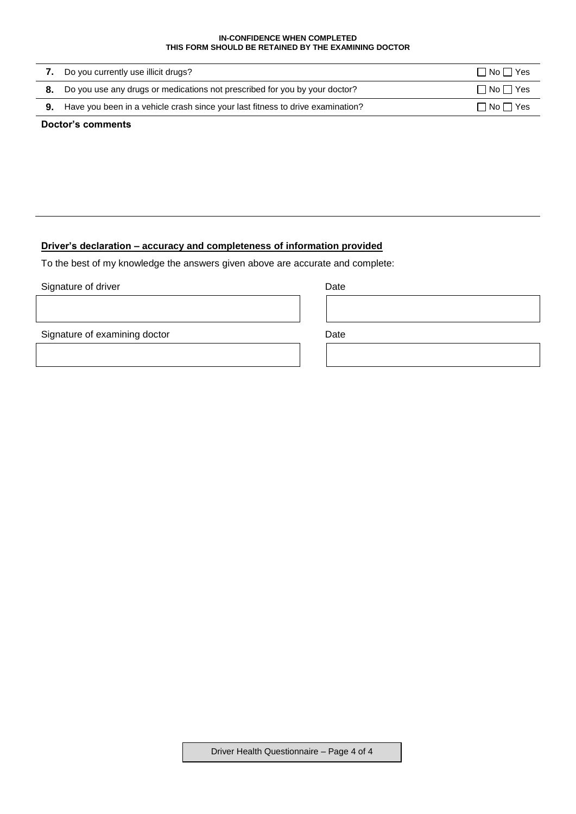#### **IN-CONFIDENCE WHEN COMPLETED THIS FORM SHOULD BE RETAINED BY THE EXAMINING DOCTOR**

| 7. Do you currently use illicit drugs?                                                   | $\Box$ No $\Box$ Yes       |
|------------------------------------------------------------------------------------------|----------------------------|
| 8. Do you use any drugs or medications not prescribed for you by your doctor?            | $\Box$ No $\Box$ Yes       |
| <b>9.</b> Have you been in a vehicle crash since your last fitness to drive examination? | $\square$ No $\square$ Yes |
|                                                                                          |                            |

## **Doctor's comments**

## **Driver's declaration – accuracy and completeness of information provided**

To the best of my knowledge the answers given above are accurate and complete:

### Signature of driver **Date**

Signature of examining doctor Date

Driver Health Questionnaire – Page 4 of 4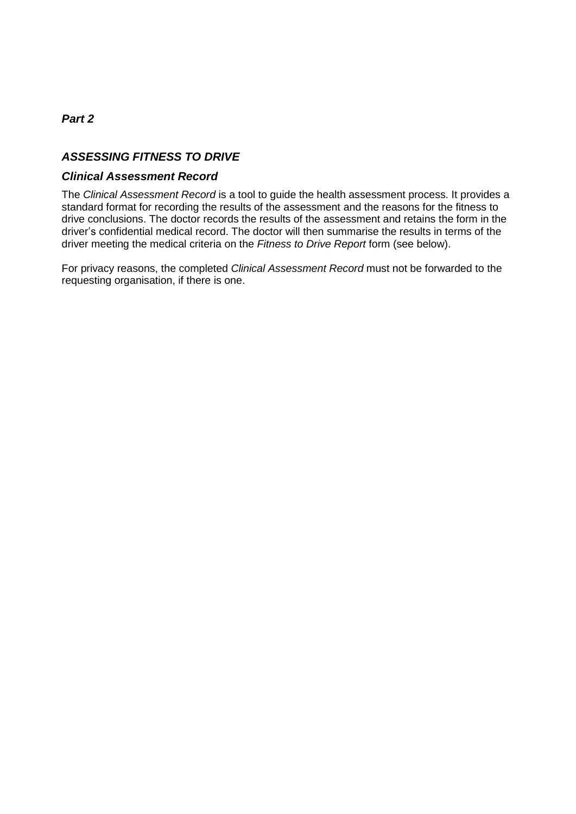## *Part 2*

## *ASSESSING FITNESS TO DRIVE*

## *Clinical Assessment Record*

The *Clinical Assessment Record* is a tool to guide the health assessment process. It provides a standard format for recording the results of the assessment and the reasons for the fitness to drive conclusions. The doctor records the results of the assessment and retains the form in the driver's confidential medical record. The doctor will then summarise the results in terms of the driver meeting the medical criteria on the *Fitness to Drive Report* form (see below).

For privacy reasons, the completed *Clinical Assessment Record* must not be forwarded to the requesting organisation, if there is one.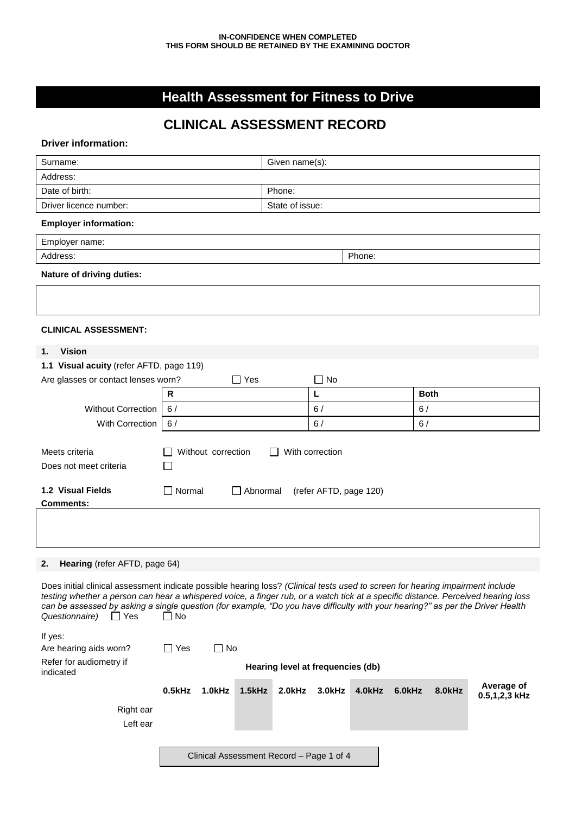# **Health Assessment for Fitness to Drive**

# **CLINICAL ASSESSMENT RECORD**

## **Driver information:**

| Surname:                                                                                                                                                                                                                                                                                                                                                                                                                                      |                            | Given name(s):                           |              |                  |             |               |
|-----------------------------------------------------------------------------------------------------------------------------------------------------------------------------------------------------------------------------------------------------------------------------------------------------------------------------------------------------------------------------------------------------------------------------------------------|----------------------------|------------------------------------------|--------------|------------------|-------------|---------------|
| Address:                                                                                                                                                                                                                                                                                                                                                                                                                                      |                            |                                          |              |                  |             |               |
| Date of birth:                                                                                                                                                                                                                                                                                                                                                                                                                                |                            | Phone:                                   |              |                  |             |               |
| Driver licence number:                                                                                                                                                                                                                                                                                                                                                                                                                        |                            | State of issue:                          |              |                  |             |               |
| <b>Employer information:</b>                                                                                                                                                                                                                                                                                                                                                                                                                  |                            |                                          |              |                  |             |               |
| Employer name:                                                                                                                                                                                                                                                                                                                                                                                                                                |                            |                                          |              |                  |             |               |
| Address:                                                                                                                                                                                                                                                                                                                                                                                                                                      |                            |                                          |              | Phone:           |             |               |
| <b>Nature of driving duties:</b>                                                                                                                                                                                                                                                                                                                                                                                                              |                            |                                          |              |                  |             |               |
|                                                                                                                                                                                                                                                                                                                                                                                                                                               |                            |                                          |              |                  |             |               |
| <b>CLINICAL ASSESSMENT:</b>                                                                                                                                                                                                                                                                                                                                                                                                                   |                            |                                          |              |                  |             |               |
| <b>Vision</b><br>1.                                                                                                                                                                                                                                                                                                                                                                                                                           |                            |                                          |              |                  |             |               |
| 1.1 Visual acuity (refer AFTD, page 119)                                                                                                                                                                                                                                                                                                                                                                                                      |                            |                                          |              |                  |             |               |
| Are glasses or contact lenses worn?                                                                                                                                                                                                                                                                                                                                                                                                           |                            | $\Box$ Yes                               | $\square$ No |                  |             |               |
|                                                                                                                                                                                                                                                                                                                                                                                                                                               | $\mathsf{R}$               |                                          | L            |                  | <b>Both</b> |               |
| <b>Without Correction</b>                                                                                                                                                                                                                                                                                                                                                                                                                     | 6/                         |                                          | 6/           |                  | 6/          |               |
| With Correction                                                                                                                                                                                                                                                                                                                                                                                                                               | 6/                         |                                          | 6/           |                  | 6/          |               |
| Meets criteria<br>With correction<br>Without correction<br>Does not meet criteria<br>1.2 Visual Fields<br>$\square$ Normal<br>Abnormal<br>(refer AFTD, page 120)<br><b>Comments:</b>                                                                                                                                                                                                                                                          |                            |                                          |              |                  |             |               |
|                                                                                                                                                                                                                                                                                                                                                                                                                                               |                            |                                          |              |                  |             |               |
| Hearing (refer AFTD, page 64)<br>2.                                                                                                                                                                                                                                                                                                                                                                                                           |                            |                                          |              |                  |             |               |
| Does initial clinical assessment indicate possible hearing loss? (Clinical tests used to screen for hearing impairment include<br>testing whether a person can hear a whispered voice, a finger rub, or a watch tick at a specific distance. Perceived hearing loss<br>can be assessed by asking a single question (for example, "Do you have difficulty with your hearing?" as per the Driver Health<br>$\Box$ No<br>Questionnaire)<br>∐ Yes |                            |                                          |              |                  |             |               |
| If yes:<br>Are hearing aids worn?                                                                                                                                                                                                                                                                                                                                                                                                             | $\square$ No<br>$\Box$ Yes |                                          |              |                  |             |               |
| Refer for audiometry if<br>indicated                                                                                                                                                                                                                                                                                                                                                                                                          |                            | Hearing level at frequencies (db)        |              |                  |             |               |
|                                                                                                                                                                                                                                                                                                                                                                                                                                               | $0.5$ kHz<br>1.0kHz        | 1.5kHz<br>2.0kHz                         | 3.0kHz       | 4.0kHz<br>6.0kHz | 8.0kHz      | Average of    |
| Right ear<br>Left ear                                                                                                                                                                                                                                                                                                                                                                                                                         |                            | Clinical Assessment Record - Page 1 of 4 |              |                  |             | 0.5,1,2,3 kHz |
|                                                                                                                                                                                                                                                                                                                                                                                                                                               |                            |                                          |              |                  |             |               |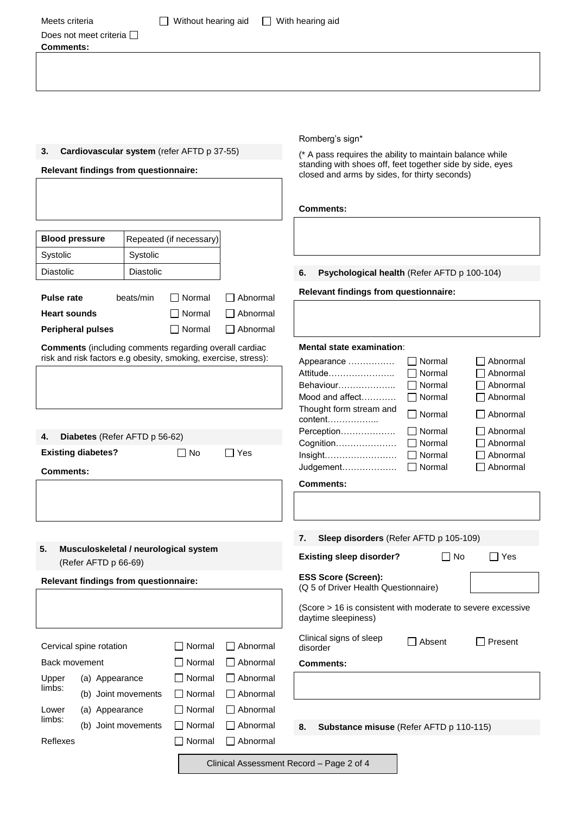| Meets criteria                        | Without hearing aid                                            | $\mathbf{I}$    | With hearing aid                                                                                                      |                            |
|---------------------------------------|----------------------------------------------------------------|-----------------|-----------------------------------------------------------------------------------------------------------------------|----------------------------|
| Does not meet criteria<br>Comments:   |                                                                |                 |                                                                                                                       |                            |
|                                       |                                                                |                 |                                                                                                                       |                            |
|                                       |                                                                |                 |                                                                                                                       |                            |
|                                       |                                                                |                 |                                                                                                                       |                            |
|                                       |                                                                |                 |                                                                                                                       |                            |
|                                       |                                                                |                 |                                                                                                                       |                            |
|                                       |                                                                |                 | Romberg's sign*                                                                                                       |                            |
| 3.                                    | Cardiovascular system (refer AFTD p 37-55)                     |                 | (* A pass requires the ability to maintain balance while<br>standing with shoes off, feet together side by side, eyes |                            |
| Relevant findings from questionnaire: |                                                                |                 | closed and arms by sides, for thirty seconds)                                                                         |                            |
|                                       |                                                                |                 |                                                                                                                       |                            |
|                                       |                                                                |                 | <b>Comments:</b>                                                                                                      |                            |
|                                       |                                                                |                 |                                                                                                                       |                            |
| <b>Blood pressure</b>                 | Repeated (if necessary)                                        |                 |                                                                                                                       |                            |
| Systolic                              | Systolic                                                       |                 |                                                                                                                       |                            |
| Diastolic                             | Diastolic                                                      |                 | Psychological health (Refer AFTD p 100-104)<br>6.                                                                     |                            |
| <b>Pulse rate</b>                     | beats/min<br>$\Box$ Normal                                     | $\Box$ Abnormal | Relevant findings from questionnaire:                                                                                 |                            |
| <b>Heart sounds</b>                   | □ Normal                                                       | $\Box$ Abnormal |                                                                                                                       |                            |
| <b>Peripheral pulses</b>              | $\Box$ Normal                                                  | $\Box$ Abnormal |                                                                                                                       |                            |
|                                       | <b>Comments</b> (including comments regarding overall cardiac  |                 | <b>Mental state examination:</b>                                                                                      |                            |
|                                       | risk and risk factors e.g obesity, smoking, exercise, stress): |                 | Normal<br>Appearance                                                                                                  | Abnormal                   |
|                                       |                                                                |                 | Attitude<br>Normal                                                                                                    | Abnormal                   |
|                                       |                                                                |                 | Behaviour<br>I Normal<br>$\Box$ Normal<br>Mood and affect                                                             | □ Abnormal<br>Abnormal     |
|                                       |                                                                |                 | Thought form stream and<br>Normal                                                                                     | Abnormal<br>$\blacksquare$ |
|                                       |                                                                |                 | content<br>Perception<br>Normal                                                                                       | Abnormal                   |
| Diabetes (Refer AFTD p 56-62)<br>4.   |                                                                |                 | Cognition<br>Normal                                                                                                   | Abnormal                   |
| <b>Existing diabetes?</b>             | $\Box$ No                                                      | $\Box$ Yes      | Insight<br>Normal                                                                                                     | Abnormal                   |
| <b>Comments:</b>                      |                                                                |                 | Judgement<br>$\Box$ Normal                                                                                            | Abnormal                   |
|                                       |                                                                |                 | <b>Comments:</b>                                                                                                      |                            |
|                                       |                                                                |                 |                                                                                                                       |                            |
|                                       |                                                                |                 | Sleep disorders (Refer AFTD p 105-109)<br>7.                                                                          |                            |
| 5.<br>(Refer AFTD p 66-69)            | Musculoskeletal / neurological system                          |                 | $\Box$ No<br><b>Existing sleep disorder?</b>                                                                          | $\Box$ Yes                 |
| Relevant findings from questionnaire: |                                                                |                 | <b>ESS Score (Screen):</b><br>(Q 5 of Driver Health Questionnaire)                                                    |                            |
|                                       |                                                                |                 |                                                                                                                       |                            |

|               | Cervical spine rotation | Normal Abnormal               |
|---------------|-------------------------|-------------------------------|
| Back movement |                         | Normal Abnormal               |
| Upper         | (a) Appearance          | $\Box$ Normal $\Box$ Abnormal |
| limbs:        | (b) Joint movements     | Normal Abnormal               |
| Lower         | (a) Appearance          | Normal   Abnormal             |
| limbs:        | (b) Joint movements     | Normal     Abnormal           |
| Reflexes      |                         | Normal Abnormal               |
|               |                         |                               |

**8. Substance misuse** (Refer AFTD p 110-115)

(Score > 16 is consistent with moderate to severe excessive

□ Absent □ Present

Clinical Assessment Record – Page 2 of 4

daytime sleepiness)

disorder

**Comments:**

Clinical signs of sleep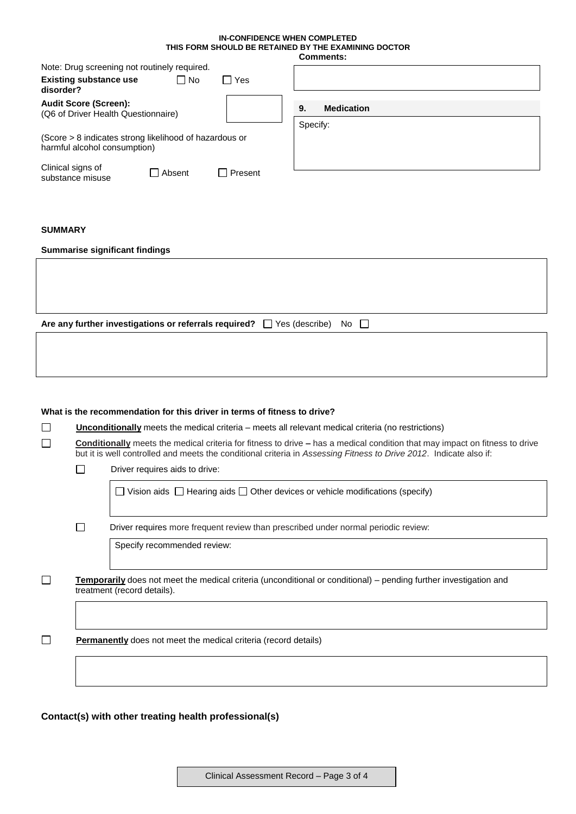### **IN-CONFIDENCE WHEN COMPLETED THIS FORM SHOULD BE RETAINED BY THE EXAMINING DOCTOR**

|                                                                                        |          |                           |          | <b>Comments:</b>  |
|----------------------------------------------------------------------------------------|----------|---------------------------|----------|-------------------|
| Note: Drug screening not routinely required.                                           |          |                           |          |                   |
| <b>Existing substance use</b><br>disorder?                                             | ΓNo      | Yes                       |          |                   |
| <b>Audit Score (Screen):</b><br>(Q6 of Driver Health Questionnaire)                    |          |                           | 9.       | <b>Medication</b> |
|                                                                                        |          |                           | Specify: |                   |
| (Score > 8 indicates strong likelihood of hazardous or<br>harmful alcohol consumption) |          |                           |          |                   |
| Clinical signs of<br>substance misuse                                                  | □ Absent | Present<br>$\blacksquare$ |          |                   |
|                                                                                        |          |                           |          |                   |
|                                                                                        |          |                           |          |                   |
| <b>SUMMARY</b>                                                                         |          |                           |          |                   |

#### **Summarise significant findings**

| Are any further investigations or referrals required? $\Box$ Yes (describe) No $\Box$ |  |
|---------------------------------------------------------------------------------------|--|
|                                                                                       |  |

#### **What is the recommendation for this driver in terms of fitness to drive?**

| <b>Unconditionally</b> meets the medical criteria – meets all relevant medical criteria (no restrictions)                                                                                                                                                |                                |  |  |  |  |
|----------------------------------------------------------------------------------------------------------------------------------------------------------------------------------------------------------------------------------------------------------|--------------------------------|--|--|--|--|
| <b>Conditionally</b> meets the medical criteria for fitness to drive – has a medical condition that may impact on fitness to drive<br>but it is well controlled and meets the conditional criteria in Assessing Fitness to Drive 2012. Indicate also if: |                                |  |  |  |  |
|                                                                                                                                                                                                                                                          | Driver requires aids to drive: |  |  |  |  |

 $\Box$  Vision aids  $\Box$  Hearing aids  $\Box$  Other devices or vehicle modifications (specify)

 $\Box$ Driver requires more frequent review than prescribed under normal periodic review:

Specify recommended review:

 $\Box$ **Temporarily** does not meet the medical criteria (unconditional or conditional) – pending further investigation and treatment (record details).

 $\Box$ **Permanently** does not meet the medical criteria (record details)

### **Contact(s) with other treating health professional(s)**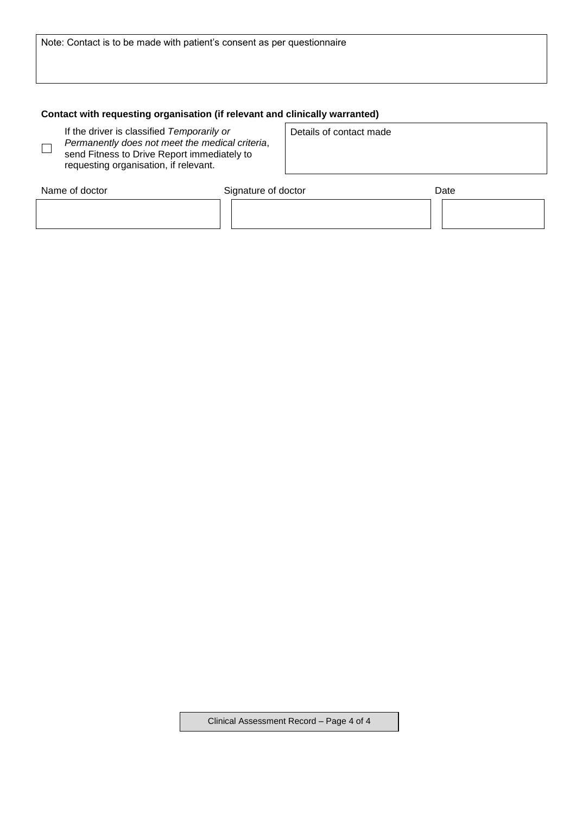Note: Contact is to be made with patient's consent as per questionnaire

## **Contact with requesting organisation (if relevant and clinically warranted)**

If the driver is classified *Temporarily or Permanently does not meet the medical criteria*, send Fitness to Drive Report immediately to requesting organisation, if relevant.

 $\Box$ 

Details of contact made

| Name of doctor | Signature of doctor | Date |
|----------------|---------------------|------|
|                |                     |      |
|                |                     |      |

Clinical Assessment Record – Page 4 of 4